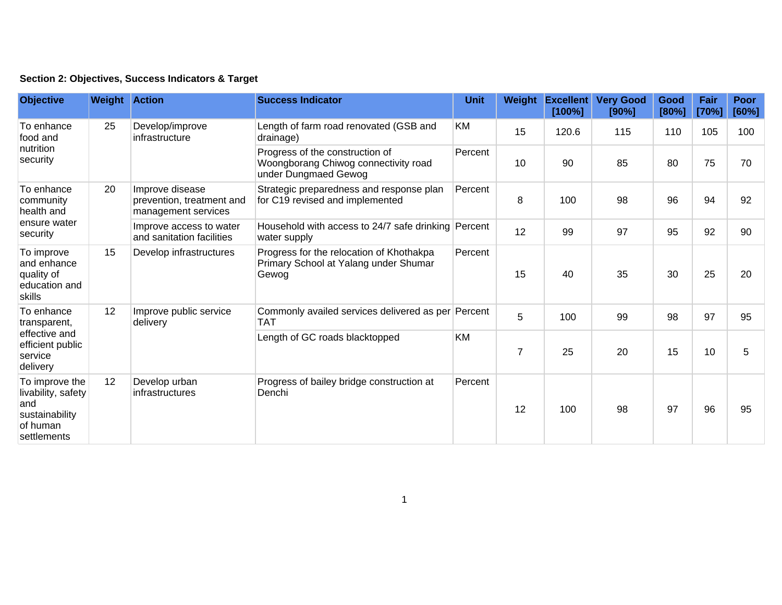| Section 2: Objectives, Success Indicators & Target |  |  |  |  |  |  |
|----------------------------------------------------|--|--|--|--|--|--|
|----------------------------------------------------|--|--|--|--|--|--|

| <b>Objective</b>                                                                         | <b>Weight Action</b> |                                                                     | <b>Success Indicator</b>                                                                        | <b>Unit</b> | Weight         | <b>Excellent</b><br>[100%] | <b>Very Good</b><br>[90%] | Good<br>[80%] | Fair<br>[70%] | <b>Poor</b><br>[60%] |
|------------------------------------------------------------------------------------------|----------------------|---------------------------------------------------------------------|-------------------------------------------------------------------------------------------------|-------------|----------------|----------------------------|---------------------------|---------------|---------------|----------------------|
| To enhance<br>food and<br>nutrition<br>security                                          | 25                   | Develop/improve<br>infrastructure                                   | Length of farm road renovated (GSB and<br>drainage)                                             | KM          | 15             | 120.6                      | 115                       | 110           | 105           | 100                  |
|                                                                                          |                      |                                                                     | Progress of the construction of<br>Woongborang Chiwog connectivity road<br>under Dungmaed Gewog | Percent     | 10             | 90                         | 85                        | 80            | 75            | 70                   |
| To enhance<br>community<br>health and                                                    | 20                   | Improve disease<br>prevention, treatment and<br>management services | Strategic preparedness and response plan<br>for C19 revised and implemented                     | Percent     | 8              | 100                        | 98                        | 96            | 94            | 92                   |
| ensure water<br>security<br>To improve                                                   |                      | Improve access to water<br>and sanitation facilities                | Household with access to 24/7 safe drinking Percent<br>water supply                             |             | 12             | 99                         | 97                        | 95            | 92            | 90                   |
| and enhance<br>quality of<br>education and<br>skills                                     | 15                   | Develop infrastructures                                             | Progress for the relocation of Khothakpa<br>Primary School at Yalang under Shumar<br>Gewog      | Percent     | 15             | 40                         | 35                        | 30            | 25            | 20                   |
| To enhance<br>transparent,<br>effective and<br>efficient public<br>service<br>delivery   | 12                   | Improve public service<br>delivery                                  | Commonly availed services delivered as per Percent<br>TAT                                       |             | 5              | 100                        | 99                        | 98            | 97            | 95                   |
|                                                                                          |                      |                                                                     | Length of GC roads blacktopped                                                                  | <b>KM</b>   | $\overline{7}$ | 25                         | 20                        | 15            | 10            | 5                    |
| To improve the<br>livability, safety<br>and<br>sustainability<br>of human<br>settlements | 12                   | Develop urban<br>infrastructures                                    | Progress of bailey bridge construction at<br>Denchi                                             | Percent     | 12             | 100                        | 98                        | 97            | 96            | 95                   |